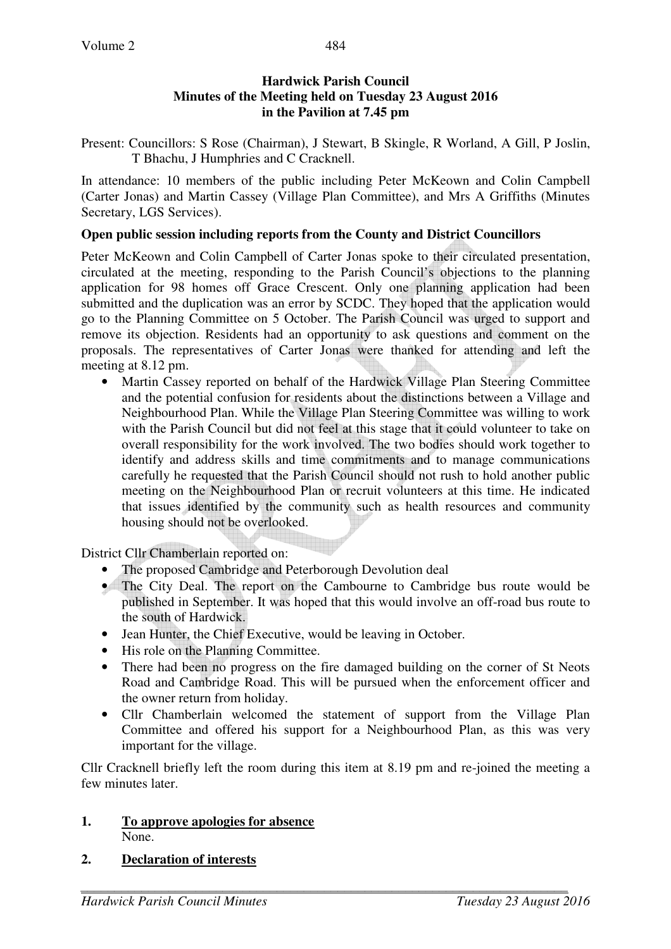# **Hardwick Parish Council Minutes of the Meeting held on Tuesday 23 August 2016 in the Pavilion at 7.45 pm**

Present: Councillors: S Rose (Chairman), J Stewart, B Skingle, R Worland, A Gill, P Joslin, T Bhachu, J Humphries and C Cracknell.

In attendance: 10 members of the public including Peter McKeown and Colin Campbell (Carter Jonas) and Martin Cassey (Village Plan Committee), and Mrs A Griffiths (Minutes Secretary, LGS Services).

# **Open public session including reports from the County and District Councillors**

Peter McKeown and Colin Campbell of Carter Jonas spoke to their circulated presentation, circulated at the meeting, responding to the Parish Council's objections to the planning application for 98 homes off Grace Crescent. Only one planning application had been submitted and the duplication was an error by SCDC. They hoped that the application would go to the Planning Committee on 5 October. The Parish Council was urged to support and remove its objection. Residents had an opportunity to ask questions and comment on the proposals. The representatives of Carter Jonas were thanked for attending and left the meeting at 8.12 pm.

• Martin Cassey reported on behalf of the Hardwick Village Plan Steering Committee and the potential confusion for residents about the distinctions between a Village and Neighbourhood Plan. While the Village Plan Steering Committee was willing to work with the Parish Council but did not feel at this stage that it could volunteer to take on overall responsibility for the work involved. The two bodies should work together to identify and address skills and time commitments and to manage communications carefully he requested that the Parish Council should not rush to hold another public meeting on the Neighbourhood Plan or recruit volunteers at this time. He indicated that issues identified by the community such as health resources and community housing should not be overlooked.

District Cllr Chamberlain reported on:

- The proposed Cambridge and Peterborough Devolution deal
- The City Deal. The report on the Cambourne to Cambridge bus route would be published in September. It was hoped that this would involve an off-road bus route to the south of Hardwick.
- Jean Hunter, the Chief Executive, would be leaving in October.
- His role on the Planning Committee.
- There had been no progress on the fire damaged building on the corner of St Neots Road and Cambridge Road. This will be pursued when the enforcement officer and the owner return from holiday.
- Cllr Chamberlain welcomed the statement of support from the Village Plan Committee and offered his support for a Neighbourhood Plan, as this was very important for the village.

Cllr Cracknell briefly left the room during this item at 8.19 pm and re-joined the meeting a few minutes later.

## **1. To approve apologies for absence** None.

## **2. Declaration of interests**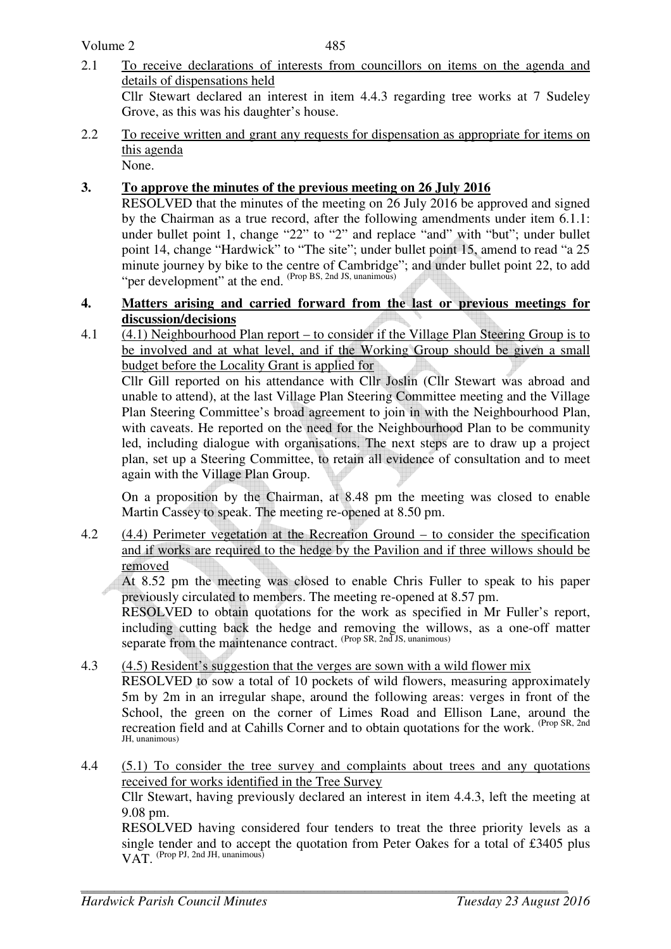Volume 2

- 2.1 To receive declarations of interests from councillors on items on the agenda and details of dispensations held Cllr Stewart declared an interest in item 4.4.3 regarding tree works at 7 Sudeley Grove, as this was his daughter's house.
- 2.2 To receive written and grant any requests for dispensation as appropriate for items on this agenda

None.

# **3. To approve the minutes of the previous meeting on 26 July 2016**

RESOLVED that the minutes of the meeting on 26 July 2016 be approved and signed by the Chairman as a true record, after the following amendments under item 6.1.1: under bullet point 1, change "22" to "2" and replace "and" with "but"; under bullet point 14, change "Hardwick" to "The site"; under bullet point 15, amend to read "a 25 minute journey by bike to the centre of Cambridge"; and under bullet point 22, to add "per development" at the end. (Prop BS, 2nd JS, unanimous)

## **4. Matters arising and carried forward from the last or previous meetings for discussion/decisions**

4.1 (4.1) Neighbourhood Plan report – to consider if the Village Plan Steering Group is to be involved and at what level, and if the Working Group should be given a small budget before the Locality Grant is applied for

Cllr Gill reported on his attendance with Cllr Joslin (Cllr Stewart was abroad and unable to attend), at the last Village Plan Steering Committee meeting and the Village Plan Steering Committee's broad agreement to join in with the Neighbourhood Plan, with caveats. He reported on the need for the Neighbourhood Plan to be community led, including dialogue with organisations. The next steps are to draw up a project plan, set up a Steering Committee, to retain all evidence of consultation and to meet again with the Village Plan Group.

On a proposition by the Chairman, at 8.48 pm the meeting was closed to enable Martin Cassey to speak. The meeting re-opened at 8.50 pm.

4.2 (4.4) Perimeter vegetation at the Recreation Ground – to consider the specification and if works are required to the hedge by the Pavilion and if three willows should be removed

At 8.52 pm the meeting was closed to enable Chris Fuller to speak to his paper previously circulated to members. The meeting re-opened at 8.57 pm.

RESOLVED to obtain quotations for the work as specified in Mr Fuller's report, including cutting back the hedge and removing the willows, as a one-off matter separate from the maintenance contract. (Prop SR, 2nd JS, unanimous)

- 4.3 (4.5) Resident's suggestion that the verges are sown with a wild flower mix RESOLVED to sow a total of 10 pockets of wild flowers, measuring approximately 5m by 2m in an irregular shape, around the following areas: verges in front of the School, the green on the corner of Limes Road and Ellison Lane, around the recreation field and at Cahills Corner and to obtain quotations for the work. (Prop SR, 2nd JH, unanimous)
- 4.4 (5.1) To consider the tree survey and complaints about trees and any quotations received for works identified in the Tree Survey

 Cllr Stewart, having previously declared an interest in item 4.4.3, left the meeting at 9.08 pm.

RESOLVED having considered four tenders to treat the three priority levels as a single tender and to accept the quotation from Peter Oakes for a total of £3405 plus VAT. (Prop PJ, 2nd JH, unanimous)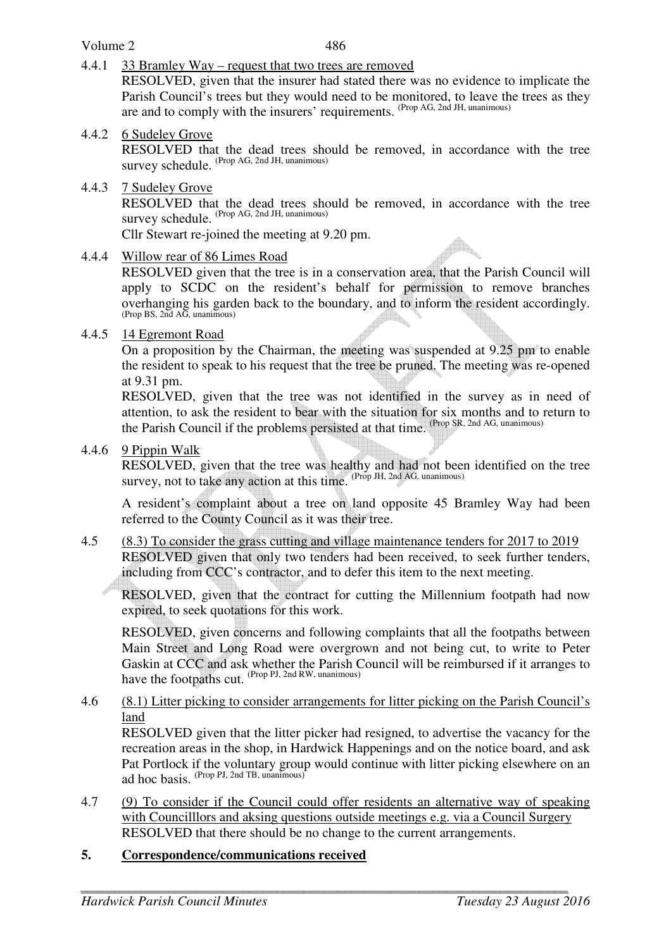## Volume 2

4.4.1 33 Bramley Way – request that two trees are removed

 RESOLVED, given that the insurer had stated there was no evidence to implicate the Parish Council's trees but they would need to be monitored, to leave the trees as they are and to comply with the insurers' requirements. (Prop AG, 2nd JH, unanimous)

4.4.2 6 Sudeley Grove

 RESOLVED that the dead trees should be removed, in accordance with the tree survey schedule. (Prop AG, 2nd JH, unanimous)

#### 4.4.3 7 Sudeley Grove

 RESOLVED that the dead trees should be removed, in accordance with the tree survey schedule. (Prop AG, 2nd JH, unanimous)

Cllr Stewart re-joined the meeting at 9.20 pm.

4.4.4 Willow rear of 86 Limes Road

 RESOLVED given that the tree is in a conservation area, that the Parish Council will apply to SCDC on the resident's behalf for permission to remove branches overhanging his garden back to the boundary, and to inform the resident accordingly. (Prop BS, 2nd AG, unanimous)

## 4.4.5 14 Egremont Road

On a proposition by the Chairman, the meeting was suspended at 9.25 pm to enable the resident to speak to his request that the tree be pruned. The meeting was re-opened at 9.31 pm.

RESOLVED, given that the tree was not identified in the survey as in need of attention, to ask the resident to bear with the situation for six months and to return to the Parish Council if the problems persisted at that time. (Prop SR, 2nd AG, unanimous)

4.4.6 9 Pippin Walk

RESOLVED, given that the tree was healthy and had not been identified on the tree survey, not to take any action at this time.  $(\text{Prop JH}, 2nd AG, \text{unanimous})$ 

A resident's complaint about a tree on land opposite 45 Bramley Way had been referred to the County Council as it was their tree.

4.5 (8.3) To consider the grass cutting and village maintenance tenders for 2017 to 2019 RESOLVED given that only two tenders had been received, to seek further tenders, including from CCC's contractor, and to defer this item to the next meeting.

 RESOLVED, given that the contract for cutting the Millennium footpath had now expired, to seek quotations for this work.

 RESOLVED, given concerns and following complaints that all the footpaths between Main Street and Long Road were overgrown and not being cut, to write to Peter Gaskin at CCC and ask whether the Parish Council will be reimbursed if it arranges to have the footpaths cut. (Prop PJ, 2nd RW, unanimous)

#### 4.6 (8.1) Litter picking to consider arrangements for litter picking on the Parish Council's land

 RESOLVED given that the litter picker had resigned, to advertise the vacancy for the recreation areas in the shop, in Hardwick Happenings and on the notice board, and ask Pat Portlock if the voluntary group would continue with litter picking elsewhere on an ad hoc basis. (Prop PJ, 2nd TB, unanimous)

4.7 (9) To consider if the Council could offer residents an alternative way of speaking with Councilllors and aksing questions outside meetings e.g. via a Council Surgery RESOLVED that there should be no change to the current arrangements.

## **5. Correspondence/communications received**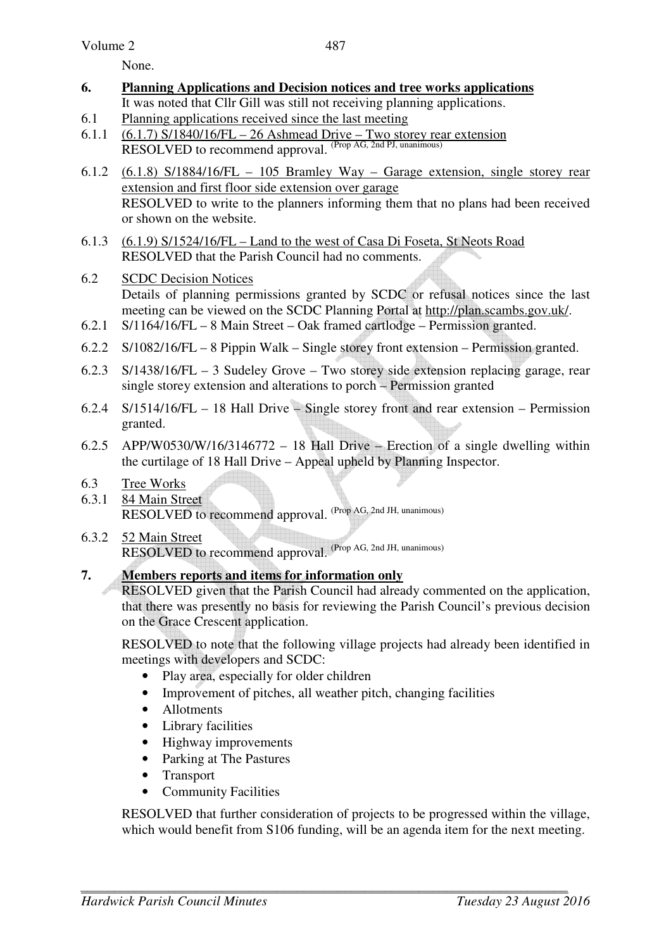None.

- **6. Planning Applications and Decision notices and tree works applications** It was noted that Cllr Gill was still not receiving planning applications.
- 6.1 Planning applications received since the last meeting
- 6.1.1  $(6.1.7)$  S/1840/16/FL 26 Ashmead Drive Two storey rear extension RESOLVED to recommend approval. (Prop AG, 2nd PJ, unanimous)
- 6.1.2 (6.1.8) S/1884/16/FL 105 Bramley Way Garage extension, single storey rear extension and first floor side extension over garage RESOLVED to write to the planners informing them that no plans had been received or shown on the website.
- 6.1.3 (6.1.9) S/1524/16/FL Land to the west of Casa Di Foseta, St Neots Road RESOLVED that the Parish Council had no comments.
- 6.2 SCDC Decision Notices Details of planning permissions granted by SCDC or refusal notices since the last meeting can be viewed on the SCDC Planning Portal at http://plan.scambs.gov.uk/.
- 6.2.1 S/1164/16/FL 8 Main Street Oak framed cartlodge Permission granted.
- 6.2.2 S/1082/16/FL 8 Pippin Walk Single storey front extension Permission granted.
- 6.2.3 S/1438/16/FL 3 Sudeley Grove Two storey side extension replacing garage, rear single storey extension and alterations to porch – Permission granted
- 6.2.4 S/1514/16/FL 18 Hall Drive Single storey front and rear extension Permission granted.
- 6.2.5 APP/W0530/W/16/3146772 18 Hall Drive Erection of a single dwelling within the curtilage of 18 Hall Drive – Appeal upheld by Planning Inspector.
- 6.3 Tree Works
- 6.3.1 84 Main Street RESOLVED to recommend approval. (Prop AG, 2nd JH, unanimous)
- 6.3.2 52 Main Street RESOLVED to recommend approval. (Prop AG, 2nd JH, unanimous)

# **7. Members reports and items for information only**

RESOLVED given that the Parish Council had already commented on the application, that there was presently no basis for reviewing the Parish Council's previous decision on the Grace Crescent application.

RESOLVED to note that the following village projects had already been identified in meetings with developers and SCDC:

- Play area, especially for older children
- Improvement of pitches, all weather pitch, changing facilities
- Allotments
- Library facilities
- Highway improvements
- Parking at The Pastures
- Transport
- Community Facilities

RESOLVED that further consideration of projects to be progressed within the village, which would benefit from S106 funding, will be an agenda item for the next meeting.